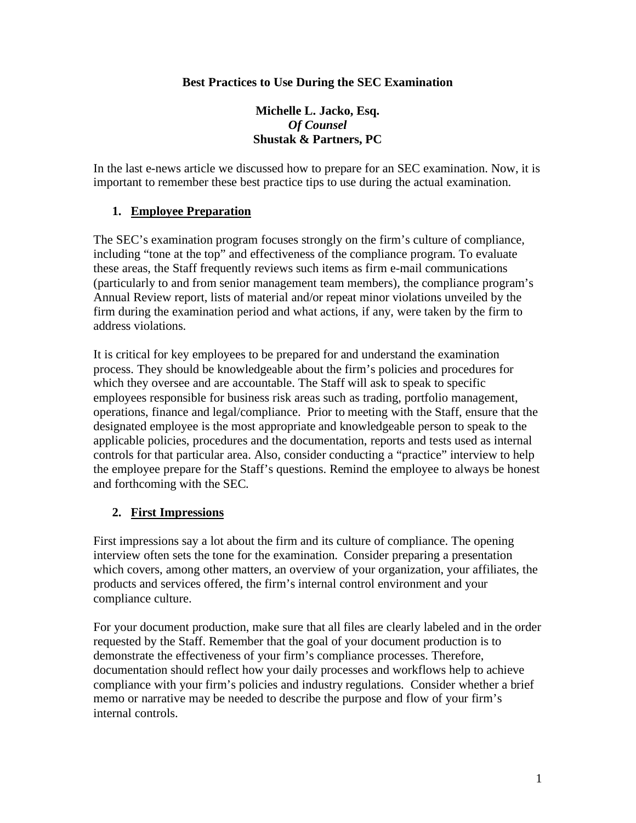#### **Best Practices to Use During the SEC Examination**

### **Michelle L. Jacko, Esq.**  *Of Counsel*  **Shustak & Partners, PC**

In the last e-news article we discussed how to prepare for an SEC examination. Now, it is important to remember these best practice tips to use during the actual examination.

### **1. Employee Preparation**

The SEC's examination program focuses strongly on the firm's culture of compliance, including "tone at the top" and effectiveness of the compliance program. To evaluate these areas, the Staff frequently reviews such items as firm e-mail communications (particularly to and from senior management team members), the compliance program's Annual Review report, lists of material and/or repeat minor violations unveiled by the firm during the examination period and what actions, if any, were taken by the firm to address violations.

It is critical for key employees to be prepared for and understand the examination process. They should be knowledgeable about the firm's policies and procedures for which they oversee and are accountable. The Staff will ask to speak to specific employees responsible for business risk areas such as trading, portfolio management, operations, finance and legal/compliance. Prior to meeting with the Staff, ensure that the designated employee is the most appropriate and knowledgeable person to speak to the applicable policies, procedures and the documentation, reports and tests used as internal controls for that particular area. Also, consider conducting a "practice" interview to help the employee prepare for the Staff's questions. Remind the employee to always be honest and forthcoming with the SEC.

### **2. First Impressions**

First impressions say a lot about the firm and its culture of compliance. The opening interview often sets the tone for the examination. Consider preparing a presentation which covers, among other matters, an overview of your organization, your affiliates, the products and services offered, the firm's internal control environment and your compliance culture.

For your document production, make sure that all files are clearly labeled and in the order requested by the Staff. Remember that the goal of your document production is to demonstrate the effectiveness of your firm's compliance processes. Therefore, documentation should reflect how your daily processes and workflows help to achieve compliance with your firm's policies and industry regulations. Consider whether a brief memo or narrative may be needed to describe the purpose and flow of your firm's internal controls.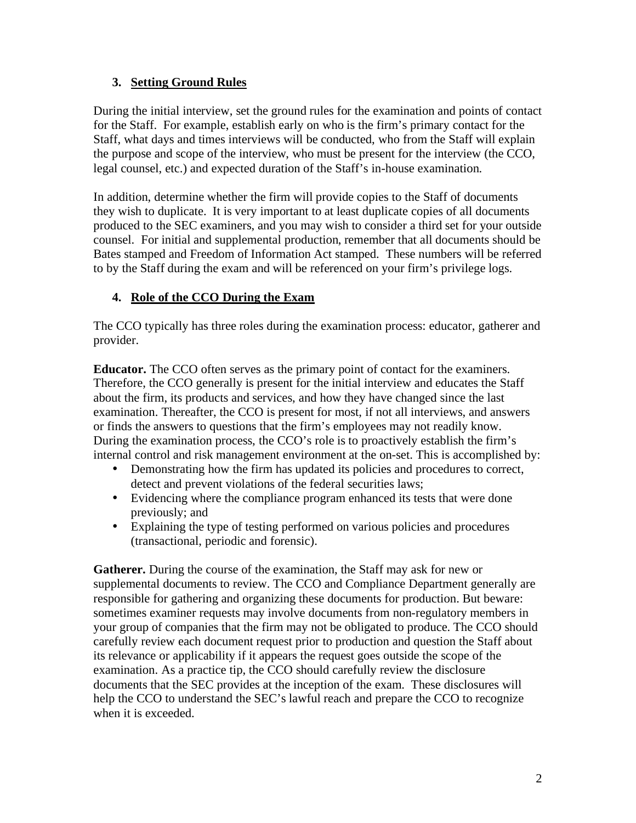# **3. Setting Ground Rules**

During the initial interview, set the ground rules for the examination and points of contact for the Staff. For example, establish early on who is the firm's primary contact for the Staff, what days and times interviews will be conducted, who from the Staff will explain the purpose and scope of the interview, who must be present for the interview (the CCO, legal counsel, etc.) and expected duration of the Staff's in-house examination.

In addition, determine whether the firm will provide copies to the Staff of documents they wish to duplicate. It is very important to at least duplicate copies of all documents produced to the SEC examiners, and you may wish to consider a third set for your outside counsel. For initial and supplemental production, remember that all documents should be Bates stamped and Freedom of Information Act stamped. These numbers will be referred to by the Staff during the exam and will be referenced on your firm's privilege logs.

# **4. Role of the CCO During the Exam**

The CCO typically has three roles during the examination process: educator, gatherer and provider.

**Educator.** The CCO often serves as the primary point of contact for the examiners. Therefore, the CCO generally is present for the initial interview and educates the Staff about the firm, its products and services, and how they have changed since the last examination. Thereafter, the CCO is present for most, if not all interviews, and answers or finds the answers to questions that the firm's employees may not readily know. During the examination process, the CCO's role is to proactively establish the firm's internal control and risk management environment at the on-set. This is accomplished by:

- Demonstrating how the firm has updated its policies and procedures to correct, detect and prevent violations of the federal securities laws;
- Evidencing where the compliance program enhanced its tests that were done previously; and
- Explaining the type of testing performed on various policies and procedures (transactional, periodic and forensic).

**Gatherer.** During the course of the examination, the Staff may ask for new or supplemental documents to review. The CCO and Compliance Department generally are responsible for gathering and organizing these documents for production. But beware: sometimes examiner requests may involve documents from non-regulatory members in your group of companies that the firm may not be obligated to produce. The CCO should carefully review each document request prior to production and question the Staff about its relevance or applicability if it appears the request goes outside the scope of the examination. As a practice tip, the CCO should carefully review the disclosure documents that the SEC provides at the inception of the exam. These disclosures will help the CCO to understand the SEC's lawful reach and prepare the CCO to recognize when it is exceeded.